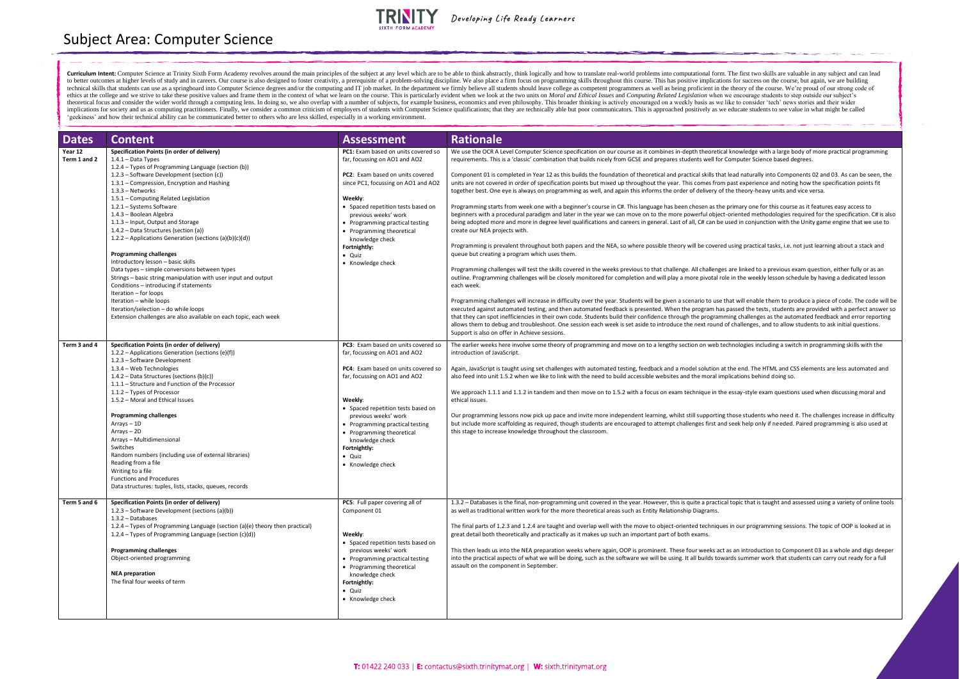| <b>Dates</b>                            | <b>Content</b>                                                                                                                                                                                                                                                                                                                                                                                                                                                                                                                                                                                                                                                                                                                                                                                                                                                                                                                          | <b>Assessment</b>                                                                                                                                                                                                                                                                                                                                                                                 | <b>Rationale</b>                                                                                                                                                                                                                                                                                                                                                                                                                                                                                                                                                                                                                                                                                                                                                                                                                                                                                                                                                                                                                                                                                                                                                                                                                                                                                                                                                                                                                                                                                                                                                                                                                                                                                                                                                                                                                                                                                                                   |
|-----------------------------------------|-----------------------------------------------------------------------------------------------------------------------------------------------------------------------------------------------------------------------------------------------------------------------------------------------------------------------------------------------------------------------------------------------------------------------------------------------------------------------------------------------------------------------------------------------------------------------------------------------------------------------------------------------------------------------------------------------------------------------------------------------------------------------------------------------------------------------------------------------------------------------------------------------------------------------------------------|---------------------------------------------------------------------------------------------------------------------------------------------------------------------------------------------------------------------------------------------------------------------------------------------------------------------------------------------------------------------------------------------------|------------------------------------------------------------------------------------------------------------------------------------------------------------------------------------------------------------------------------------------------------------------------------------------------------------------------------------------------------------------------------------------------------------------------------------------------------------------------------------------------------------------------------------------------------------------------------------------------------------------------------------------------------------------------------------------------------------------------------------------------------------------------------------------------------------------------------------------------------------------------------------------------------------------------------------------------------------------------------------------------------------------------------------------------------------------------------------------------------------------------------------------------------------------------------------------------------------------------------------------------------------------------------------------------------------------------------------------------------------------------------------------------------------------------------------------------------------------------------------------------------------------------------------------------------------------------------------------------------------------------------------------------------------------------------------------------------------------------------------------------------------------------------------------------------------------------------------------------------------------------------------------------------------------------------------|
| Year 12<br>Term 1 and 2<br>Term 3 and 4 | Specification Points (in order of delivery)<br>$1.4.1 - Data Types$<br>1.2.4 - Types of Programming Language (section (b))<br>1.2.3 - Software Development (section (c))<br>1.3.1 - Compression, Encryption and Hashing<br>1.3.3 - Networks<br>1.5.1 - Computing Related Legislation<br>1.2.1 - Systems Software<br>1.4.3 - Boolean Algebra<br>1.1.3 - Input, Output and Storage<br>1.4.2 – Data Structures (section (a))<br>1.2.2 – Applications Generation (sections (a)(b)(c)(d))<br><b>Programming challenges</b><br>Introductory lesson - basic skills<br>Data types - simple conversions between types<br>Strings - basic string manipulation with user input and output<br>Conditions - introducing if statements<br>Iteration - for loops<br>Iteration - while loops<br>Iteration/selection - do while loops<br>Extension challenges are also available on each topic, each week<br>Specification Points (in order of delivery) | PC1: Exam based on units covered so<br>far, focussing on AO1 and AO2<br>PC2: Exam based on units covered<br>since PC1, focussing on AO1 and AO2<br>Weekly:<br>• Spaced repetition tests based on<br>previous weeks' work<br>• Programming practical testing<br>• Programming theoretical<br>knowledge check<br>Fortnightly:<br>· Quiz<br>• Knowledge check<br>PC3: Exam based on units covered so | We use the OCR A Level Computer Science specification on our course as it combines in-depth theoretical<br>requirements. This is a 'classic' combination that builds nicely from GCSE and prepares students well for<br>Component 01 is completed in Year 12 as this builds the foundation of theoretical and practical skills that<br>units are not covered in order of specification points but mixed up throughout the year. This comes from<br>together best. One eye is always on programming as well, and again this informs the order of delivery of<br>Programming starts from week one with a beginner's course in C#. This language has been chosen as the<br>beginners with a procedural paradigm and later in the year we can move on to the more powerful object<br>being adopted more and more in degree level qualifications and careers in general. Last of all, C# can be<br>create our NEA projects with.<br>Programming is prevalent throughout both papers and the NEA, so where possible theory will be covered<br>queue but creating a program which uses them.<br>Programming challenges will test the skills covered in the weeks previous to that challenge. All challenge<br>outline. Programming challenges will be closely monitored for completion and will play a more pivotal ro<br>each week.<br>Programming challenges will increase in difficulty over the year. Students will be given a scenario to use t<br>executed against automated testing, and then automated feedback is presented. When the program has<br>that they can spot inefficiencies in their own code. Students build their confidence through the programi<br>allows them to debug and troubleshoot. One session each week is set aside to introduce the next round<br>Support is also on offer in Achieve sessions.<br>The earlier weeks here involve some theory of programming and move on to a lengthy section on web te |
|                                         | 1.2.2 - Applications Generation (sections (e)(f))<br>1.2.3 - Software Development<br>1.3.4 - Web Technologies<br>1.4.2 - Data Structures (sections (b)(c))<br>1.1.1 - Structure and Function of the Processor<br>1.1.2 - Types of Processor<br>1.5.2 - Moral and Ethical Issues<br><b>Programming challenges</b><br>$Arrays - 1D$<br>$Arrays - 2D$<br>Arrays - Multidimensional<br>Switches<br>Random numbers (including use of external libraries)<br>Reading from a file<br>Writing to a file<br><b>Functions and Procedures</b><br>Data structures: tuples, lists, stacks, queues, records                                                                                                                                                                                                                                                                                                                                           | far, focussing on AO1 and AO2<br>PC4: Exam based on units covered so<br>far, focussing on AO1 and AO2<br>Weekly:<br>• Spaced repetition tests based on<br>previous weeks' work<br>• Programming practical testing<br>• Programming theoretical<br>knowledge check<br>Fortnightly:<br>· Quiz<br>• Knowledge check                                                                                  | introduction of JavaScript.<br>Again, JavaScript is taught using set challenges with automated testing, feedback and a model solution at<br>also feed into unit 1.5.2 when we like to link with the need to build accessible websites and the moral im<br>We approach 1.1.1 and 1.1.2 in tandem and then move on to 1.5.2 with a focus on exam technique in the<br>ethical issues.<br>Our programming lessons now pick up pace and invite more independent learning, whilst still supporting<br>but include more scaffolding as required, though students are encouraged to attempt challenges first and<br>this stage to increase knowledge throughout the classroom.                                                                                                                                                                                                                                                                                                                                                                                                                                                                                                                                                                                                                                                                                                                                                                                                                                                                                                                                                                                                                                                                                                                                                                                                                                                             |
| Term 5 and 6                            | Specification Points (in order of delivery)<br>1.2.3 - Software Development (sections (a)(b))<br>$1.3.2 - Database$<br>1.2.4 – Types of Programming Language (section (a)(e) theory then practical)<br>1.2.4 - Types of Programming Language (section (c)(d))<br><b>Programming challenges</b><br>Object-oriented programming<br><b>NEA</b> preparation<br>The final four weeks of term                                                                                                                                                                                                                                                                                                                                                                                                                                                                                                                                                 | PC5: Full paper covering all of<br>Component 01<br>Weekly:<br>• Spaced repetition tests based on<br>previous weeks' work<br>• Programming practical testing<br>• Programming theoretical<br>knowledge check<br>Fortnightly:<br>• Quiz<br>• Knowledge check                                                                                                                                        | 1.3.2 – Databases is the final, non-programming unit covered in the year. However, this is quite a practic.<br>as well as traditional written work for the more theoretical areas such as Entity Relationship Diagrams.<br>The final parts of 1.2.3 and 1.2.4 are taught and overlap well with the move to object-oriented technique<br>great detail both theoretically and practically as it makes up such an important part of both exams.<br>This then leads us into the NEA preparation weeks where again, OOP is prominent. These four weeks act<br>into the practical aspects of what we will be doing, such as the software we will be using. It all builds tow<br>assault on the component in September.                                                                                                                                                                                                                                                                                                                                                                                                                                                                                                                                                                                                                                                                                                                                                                                                                                                                                                                                                                                                                                                                                                                                                                                                                   |

al knowledge with a large body of more practical programming Computer Science based degrees.

clead naturally into Components 02 and 03. As can be seen, the past experience and noting how the specification points fit the theory-heavy units and vice versa.

primary one for this course as it features easy access to t-oriented methodologies required for the specification. C# is also used in conjunction with the Unity game engine that we use to

I using practical tasks, i.e. not just learning about a stack and

es are linked to a previous exam question, either fully or as ane le in the weekly lesson schedule by having a dedicated lesson

that will enable them to produce a piece of code. The code will be passed the tests, students are provided with a perfect answer so ming challenges as the automated feedback and error reporting of challenges, and to allow students to ask initial questions.

echnologies including a switch in programming skills with the

the end. The HTML and CSS elements are less automated and iplications behind doing so.

e essay-style exam questions used when discussing moral and

those students who need it. The challenges increase in difficulty out seek help only if needed. Paired programming is also used at

nal topic that is taught and assessed using a variety of online tools

es in our programming sessions. The topic of OOP is looked at in

t as an introduction to Component 03 as a whole and digs deeper vards summer work that students can carry out ready for a full

Curriculum Intent: Computer Science at Trinity Sixth Form Academy revolves around the main principles of the subject at any level which are to be able to think abstractly, think logically and how to translate real-world pr to better outcomes at higher levels of study and in careers. Our course is also designed to foster creativity, a prerequisite of a problem-solving discipline. We also place a firm focus on programming skills throughout thi technical skills that students can use as a springboard into Computer Science degrees and/or the computing and IT job market. In the department we firmly believe all students should leave college as competent programmers a ethics at the college and we strive to take these positive values and frame them in the context of what we learn on the course. This is particularly evident when we look at the two units on Moral and Ethical Issues and Com theoretical focus and consider the wider world through a computing lens. In doing so, we also overlap with a number of subjects, for example business, economics and even philosophy. This broader thinking is actively encour implications for society and us as computing practitioners. Finally, we consider a common criticism of employers of students with Computer Science qualifications; that they are technically able but poor communicators. This 'geekiness' and how their technical ability can be communicated better to others who are less skilled, especially in a working environment.

Subject Area: Computer Science



Developing Life Ready Learners